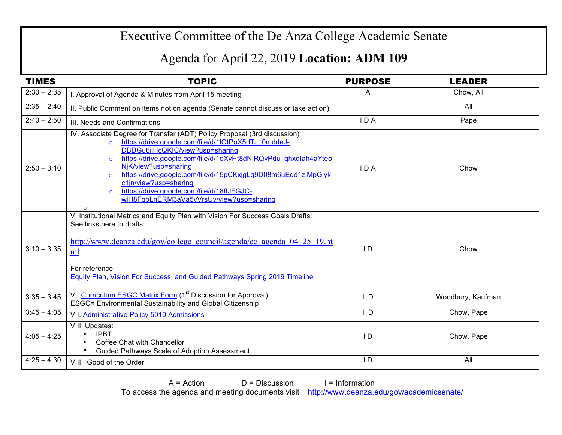## Executive Committee of the De Anza College Academic Senate

## Agenda for April 22, 2019 **Location: ADM 109**

| <b>TIMES</b>  | <b>TOPIC</b>                                                                                                                                                                                                                                                                                                                                                                                                                                                                                 | <b>PURPOSE</b> | <b>LEADER</b>     |
|---------------|----------------------------------------------------------------------------------------------------------------------------------------------------------------------------------------------------------------------------------------------------------------------------------------------------------------------------------------------------------------------------------------------------------------------------------------------------------------------------------------------|----------------|-------------------|
| $2:30 - 2:35$ | I. Approval of Agenda & Minutes from April 15 meeting                                                                                                                                                                                                                                                                                                                                                                                                                                        | A              | Chow, All         |
| $2:35 - 2:40$ | II. Public Comment on items not on agenda (Senate cannot discuss or take action)                                                                                                                                                                                                                                                                                                                                                                                                             |                | All               |
| $2:40 - 2:50$ | III. Needs and Confirmations                                                                                                                                                                                                                                                                                                                                                                                                                                                                 | <b>IDA</b>     | Pape              |
| $2:50 - 3:10$ | IV. Associate Degree for Transfer (ADT) Policy Proposal (3rd discussion)<br>https://drive.google.com/file/d/1lOtPoX5dTJ_0mddeJ-<br>$\circ$<br>DBDGu6jjHcQKIC/view?usp=sharing<br>https://drive.google.com/file/d/1oXyHt8dNiRQvPdu_ghxdlah4aYteo<br>$\circ$<br>NjK/view?usp=sharing<br>https://drive.google.com/file/d/15pCKxjgLq9D08m6uEdd1zjMpGjyk<br>$\circ$<br>c1jn/view?usp=sharing<br>https://drive.google.com/file/d/18flJFGJC-<br>$\circ$<br>wiH8FqbLnERM3aVa5yVrsUy/view?usp=sharing | <b>IDA</b>     | Chow              |
| $3:10 - 3:35$ | V. Institutional Metrics and Equity Plan with Vision For Success Goals Drafts:<br>See links here to drafts:<br>http://www.deanza.edu/gov/college_council/agenda/cc_agenda_04_25_19.ht<br>ml<br>For reference:<br><b>Equity Plan, Vision For Success, and Guided Pathways Spring 2019 Timeline</b>                                                                                                                                                                                            | $\overline{D}$ | Chow              |
| $3:35 - 3:45$ | VI. Curriculum ESGC Matrix Form (1 <sup>st</sup> Discussion for Approval)<br>ESGC= Environmental Sustainability and Global Citizenship                                                                                                                                                                                                                                                                                                                                                       | $\overline{D}$ | Woodbury, Kaufman |
| $3:45 - 4:05$ | VII. Administrative Policy 5010 Admissions                                                                                                                                                                                                                                                                                                                                                                                                                                                   | $\mathsf{I}$ D | Chow, Pape        |
| $4:05 - 4:25$ | VIII. Updates:<br><b>IPBT</b><br>Coffee Chat with Chancellor<br>Guided Pathways Scale of Adoption Assessment                                                                                                                                                                                                                                                                                                                                                                                 | $\overline{D}$ | Chow, Pape        |
| $4:25 - 4:30$ | VIIII. Good of the Order                                                                                                                                                                                                                                                                                                                                                                                                                                                                     | $\overline{1}$ | All               |

 $A = Action$  D = Discussion I = Information To access the agenda and meeting documents visit http://www.deanza.edu/gov/academicsenate/